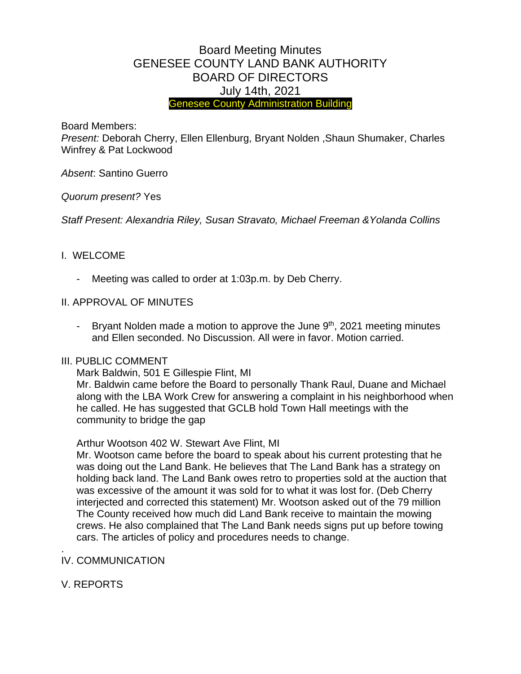# Board Meeting Minutes GENESEE COUNTY LAND BANK AUTHORITY BOARD OF DIRECTORS July 14th, 2021 Genesee County Administration Building

Board Members:

*Present:* Deborah Cherry, Ellen Ellenburg, Bryant Nolden ,Shaun Shumaker, Charles Winfrey & Pat Lockwood

*Absent*: Santino Guerro

*Quorum present?* Yes

*Staff Present: Alexandria Riley, Susan Stravato, Michael Freeman &Yolanda Collins*

#### I. WELCOME

Meeting was called to order at 1:03p.m. by Deb Cherry.

#### II. APPROVAL OF MINUTES

- Bryant Nolden made a motion to approve the June 9<sup>th</sup>, 2021 meeting minutes and Ellen seconded. No Discussion. All were in favor. Motion carried.

#### III. PUBLIC COMMENT

Mark Baldwin, 501 E Gillespie Flint, MI

Mr. Baldwin came before the Board to personally Thank Raul, Duane and Michael along with the LBA Work Crew for answering a complaint in his neighborhood when he called. He has suggested that GCLB hold Town Hall meetings with the community to bridge the gap

Arthur Wootson 402 W. Stewart Ave Flint, MI

Mr. Wootson came before the board to speak about his current protesting that he was doing out the Land Bank. He believes that The Land Bank has a strategy on holding back land. The Land Bank owes retro to properties sold at the auction that was excessive of the amount it was sold for to what it was lost for. (Deb Cherry interjected and corrected this statement) Mr. Wootson asked out of the 79 million The County received how much did Land Bank receive to maintain the mowing crews. He also complained that The Land Bank needs signs put up before towing cars. The articles of policy and procedures needs to change.

#### . IV. COMMUNICATION

V. REPORTS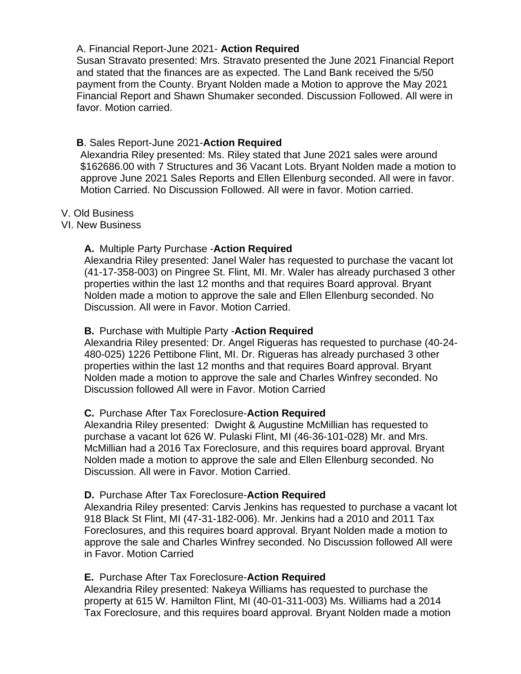# A. Financial Report-June 2021- **Action Required**

Susan Stravato presented: Mrs. Stravato presented the June 2021 Financial Report and stated that the finances are as expected. The Land Bank received the 5/50 payment from the County. Bryant Nolden made a Motion to approve the May 2021 Financial Report and Shawn Shumaker seconded. Discussion Followed. All were in favor. Motion carried.

# **B**. Sales Report-June 2021-**Action Required**

Alexandria Riley presented: Ms. Riley stated that June 2021 sales were around \$162686.00 with 7 Structures and 36 Vacant Lots. Bryant Nolden made a motion to approve June 2021 Sales Reports and Ellen Ellenburg seconded. All were in favor. Motion Carried. No Discussion Followed. All were in favor. Motion carried.

# V. Old Business

VI. New Business

# **A.** Multiple Party Purchase -**Action Required**

Alexandria Riley presented: Janel Waler has requested to purchase the vacant lot (41-17-358-003) on Pingree St. Flint, MI. Mr. Waler has already purchased 3 other properties within the last 12 months and that requires Board approval. Bryant Nolden made a motion to approve the sale and Ellen Ellenburg seconded. No Discussion. All were in Favor. Motion Carried.

# **B.** Purchase with Multiple Party -**Action Required**

Alexandria Riley presented: Dr. Angel Rigueras has requested to purchase (40-24- 480-025) 1226 Pettibone Flint, MI. Dr. Rigueras has already purchased 3 other properties within the last 12 months and that requires Board approval. Bryant Nolden made a motion to approve the sale and Charles Winfrey seconded. No Discussion followed All were in Favor. Motion Carried

# **C.** Purchase After Tax Foreclosure-**Action Required**

Alexandria Riley presented: Dwight & Augustine McMillian has requested to purchase a vacant lot 626 W. Pulaski Flint, MI (46-36-101-028) Mr. and Mrs. McMillian had a 2016 Tax Foreclosure, and this requires board approval. Bryant Nolden made a motion to approve the sale and Ellen Ellenburg seconded. No Discussion. All were in Favor. Motion Carried.

# **D.** Purchase After Tax Foreclosure-**Action Required**

Alexandria Riley presented: Carvis Jenkins has requested to purchase a vacant lot 918 Black St Flint, MI (47-31-182-006). Mr. Jenkins had a 2010 and 2011 Tax Foreclosures, and this requires board approval. Bryant Nolden made a motion to approve the sale and Charles Winfrey seconded. No Discussion followed All were in Favor. Motion Carried

# **E.** Purchase After Tax Foreclosure-**Action Required**

Alexandria Riley presented: Nakeya Williams has requested to purchase the property at 615 W. Hamilton Flint, MI (40-01-311-003) Ms. Williams had a 2014 Tax Foreclosure, and this requires board approval. Bryant Nolden made a motion